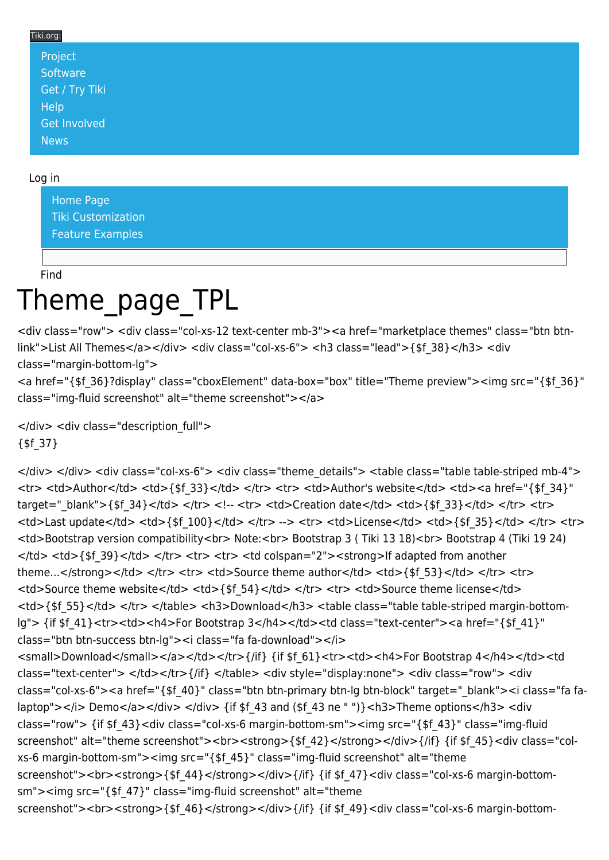## Tiki.org:

| Project             |  |  |  |
|---------------------|--|--|--|
| Software            |  |  |  |
| Get / Try Tiki      |  |  |  |
| Help                |  |  |  |
| <b>Get Involved</b> |  |  |  |
| <b>News</b>         |  |  |  |

## Log in

[Home Page](https://themes.tiki.org/Themes) [Tiki Customization](https://themes.tiki.org/Tiki-Customization) [Feature Examples](#page--1-0)

Find

## Theme\_page\_TPL

<div class="row"> <div class="col-xs-12 text-center mb-3"><a href="marketplace themes" class="btn btnlink">List All Themes</a></div> <div class="col-xs-6"> <h3 class="lead">{\$f 38}</h3> <div class="margin-bottom-lg">

<a href="{\$f\_36}?display" class="cboxElement" data-box="box" title="Theme preview"><img src="{\$f\_36}" class="img-fluid screenshot" alt="theme screenshot"></a>

</div> <div class="description full"> {\$f\_37}

</div> </div> <div class="col-xs-6"> <div class="theme\_details"> <table class="table table-striped mb-4"> <tr> <td>Author</td> <td>{\$f\_33}</td> </tr> <tr> <td>Author's website</td> <td><a href="{\$f\_34}" target="\_blank">{\$f\_34}</td> </tr> <tr> <tr> <tr> <td>Creation date</td> <td>{\$f\_33}</td> </tr> <tr> <td>Last update</td> <td>{\$f\_100}</td> </tr> --> <tr> <td>License</td> <td>{\$f\_35}</td> </tr> <tr> <td>Bootstrap version compatibility<br> Note:<br> Bootstrap 3 ( Tiki 13 18)<br> Bootstrap 4 (Tiki 19 24) </td> <td>{\$f\_39}</td> </tr> <tr> <tr> <td colspan="2"><strong>If adapted from another theme...</strong></td> </tr> <tr> <tr> <td>Source theme author</td> <td>{\$f 53}</td> </tr> <tr> <td>Source theme website</td> <td>{\$f 54}</td> </tr> <tr> <td>Source theme license</td> <td>{\$f\_55}</td> </tr> </table> <h3>Download</h3> <table class="table table-striped margin-bottomlg"> {if \$f 41}<tr><td><h4>For Bootstrap 3</h4></td><td class="text-center"><a href="{\$f 41}" class="btn btn-success btn-lg"><i class="fa fa-download"></i> <small>Download</small></a></td></td></td></td>{if} {if \$f 61}<tr><td><h4>For Bootstrap 4</h4></td><td class="text-center"> </td></tr>{/if} </table> <div style="display:none"> <div class="row"> <div class="col-xs-6"><a href="{\$f\_40}" class="btn btn-primary btn-lg btn-block" target="\_blank"><i class="fa falaptop"></i> Demo</a></div></div> {if \$f\_43 and (\$f\_43 ne " ")}<h3>Theme options</h3><div class="row"> {if \$f\_43}<div class="col-xs-6 margin-bottom-sm"><img src="{\$f\_43}" class="img-fluid screenshot" alt="theme screenshot"><br><<br/>strong>{\$f\_42}</strong></div>{/if} {if \$f\_45}<div class="colxs-6 margin-bottom-sm"><img src="{\$f\_45}" class="img-fluid screenshot" alt="theme screenshot"><br><strong>{\$f\_44}</strong></div>{/if} {if \$f\_47}<div class="col-xs-6 margin-bottomsm"><img src="{\$f\_47}" class="img-fluid screenshot" alt="theme screenshot"><br><strong>{\$f\_46}</strong></div>{/if} {if \$f\_49}<div class="col-xs-6 margin-bottom